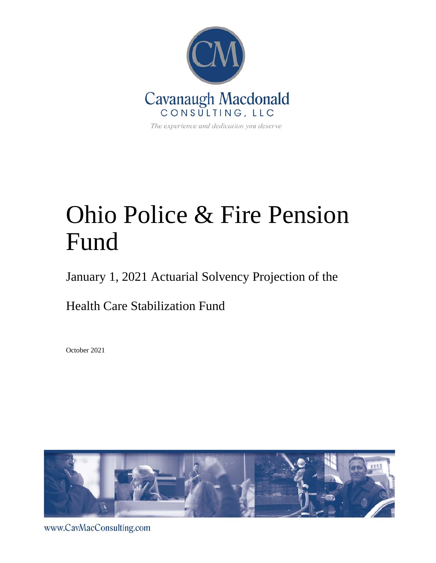

# Ohio Police & Fire Pension Fund

January 1, 2021 Actuarial Solvency Projection of the

Health Care Stabilization Fund

October 2021



www.CavMacConsulting.com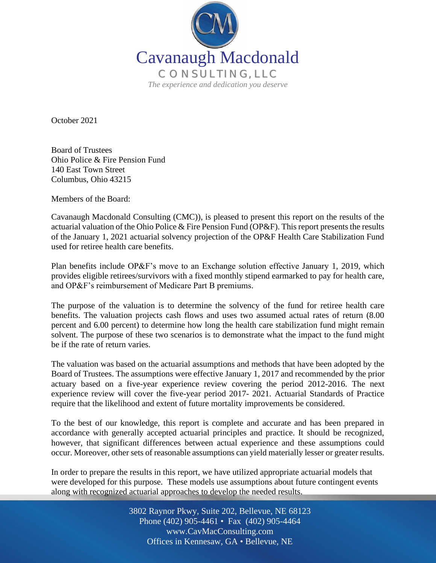

October 2021

Board of Trustees Ohio Police & Fire Pension Fund 140 East Town Street Columbus, Ohio 43215

Members of the Board:

Cavanaugh Macdonald Consulting (CMC)), is pleased to present this report on the results of the actuarial valuation of the Ohio Police & Fire Pension Fund (OP&F). This report presents the results of the January 1, 2021 actuarial solvency projection of the OP&F Health Care Stabilization Fund used for retiree health care benefits.

Plan benefits include OP&F's move to an Exchange solution effective January 1, 2019, which provides eligible retirees/survivors with a fixed monthly stipend earmarked to pay for health care, and OP&F's reimbursement of Medicare Part B premiums.

The purpose of the valuation is to determine the solvency of the fund for retiree health care benefits. The valuation projects cash flows and uses two assumed actual rates of return (8.00 percent and 6.00 percent) to determine how long the health care stabilization fund might remain solvent. The purpose of these two scenarios is to demonstrate what the impact to the fund might be if the rate of return varies.

The valuation was based on the actuarial assumptions and methods that have been adopted by the Board of Trustees. The assumptions were effective January 1, 2017 and recommended by the prior actuary based on a five-year experience review covering the period 2012-2016. The next experience review will cover the five-year period 2017- 2021. Actuarial Standards of Practice require that the likelihood and extent of future mortality improvements be considered.

To the best of our knowledge, this report is complete and accurate and has been prepared in accordance with generally accepted actuarial principles and practice. It should be recognized, however, that significant differences between actual experience and these assumptions could occur. Moreover, other sets of reasonable assumptions can yield materially lesser or greater results.

In order to prepare the results in this report, we have utilized appropriate actuarial models that were developed for this purpose. These models use assumptions about future contingent events along with recognized actuarial approaches to develop the needed results.

> Off Offices in Kennesaw, GA • Bellevue, NE 3802 Raynor Pkwy, Suite 202, Bellevue, NE 68123 Phone (402) 905-4461 • Fax (402) 905-4464 www.CavMacConsulting.com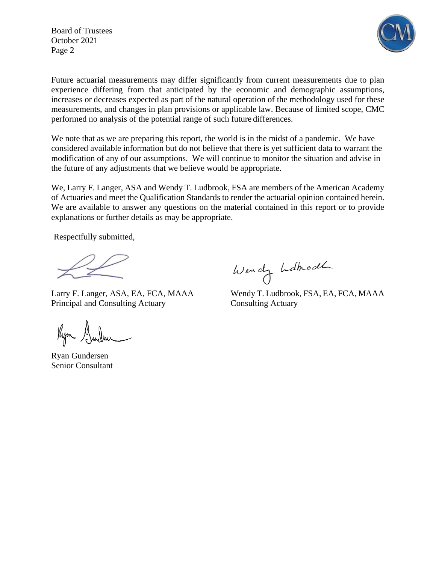Board of Trustees October 2021 Page 2



Future actuarial measurements may differ significantly from current measurements due to plan experience differing from that anticipated by the economic and demographic assumptions, increases or decreases expected as part of the natural operation of the methodology used for these measurements, and changes in plan provisions or applicable law. Because of limited scope, CMC performed no analysis of the potential range of such future differences.

We note that as we are preparing this report, the world is in the midst of a pandemic. We have considered available information but do not believe that there is yet sufficient data to warrant the modification of any of our assumptions. We will continue to monitor the situation and advise in the future of any adjustments that we believe would be appropriate.

We, Larry F. Langer, ASA and Wendy T. Ludbrook, FSA are members of the American Academy of Actuaries and meet the Qualification Standards to render the actuarial opinion contained herein. We are available to answer any questions on the material contained in this report or to provide explanations or further details as may be appropriate.

Respectfully submitted,

j

Principal and Consulting Actuary Consulting Actuary

Kym Gudsu

Ryan Gundersen Senior Consultant

Wendy Ldhodh

Larry F. Langer, ASA, EA, FCA, MAAA Wendy T. Ludbrook, FSA, EA, FCA, MAAA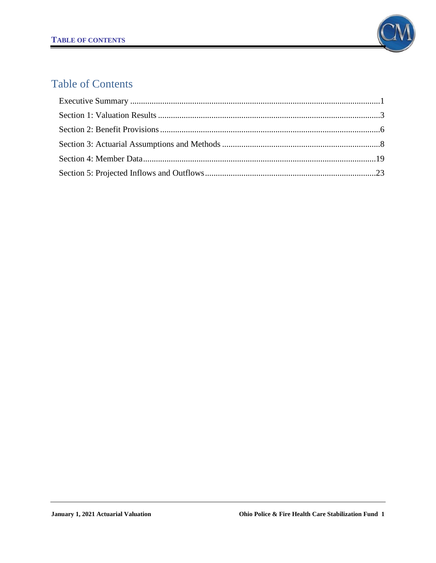

# Table of Contents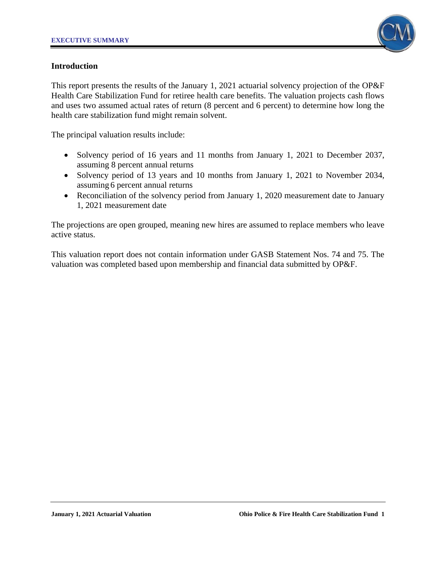

#### **Introduction**

This report presents the results of the January 1, 2021 actuarial solvency projection of the OP&F Health Care Stabilization Fund for retiree health care benefits. The valuation projects cash flows and uses two assumed actual rates of return (8 percent and 6 percent) to determine how long the health care stabilization fund might remain solvent.

The principal valuation results include:

- Solvency period of 16 years and 11 months from January 1, 2021 to December 2037, assuming 8 percent annual returns
- Solvency period of 13 years and 10 months from January 1, 2021 to November 2034, assuming 6 percent annual returns
- Reconciliation of the solvency period from January 1, 2020 measurement date to January 1, 2021 measurement date

The projections are open grouped, meaning new hires are assumed to replace members who leave active status.

This valuation report does not contain information under GASB Statement Nos. 74 and 75. The valuation was completed based upon membership and financial data submitted by OP&F.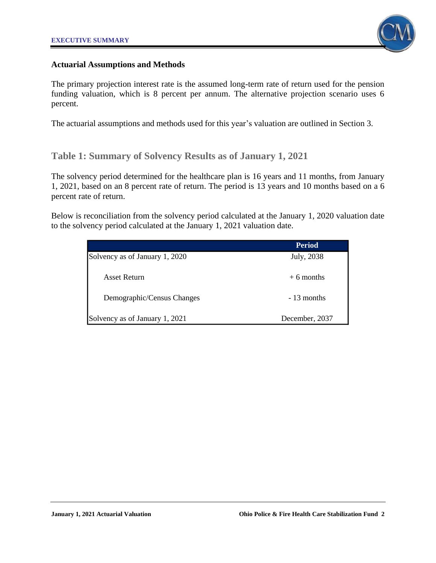

#### **Actuarial Assumptions and Methods**

The primary projection interest rate is the assumed long-term rate of return used for the pension funding valuation, which is 8 percent per annum. The alternative projection scenario uses 6 percent.

The actuarial assumptions and methods used for this year's valuation are outlined in Section 3.

# **Table 1: Summary of Solvency Results as of January 1, 2021**

The solvency period determined for the healthcare plan is 16 years and 11 months, from January 1, 2021, based on an 8 percent rate of return. The period is 13 years and 10 months based on a 6 percent rate of return.

Below is reconciliation from the solvency period calculated at the January 1, 2020 valuation date to the solvency period calculated at the January 1, 2021 valuation date.

|                                | <b>Period</b>  |
|--------------------------------|----------------|
| Solvency as of January 1, 2020 | July, 2038     |
| Asset Return                   | $+6$ months    |
| Demographic/Census Changes     | - 13 months    |
| Solvency as of January 1, 2021 | December, 2037 |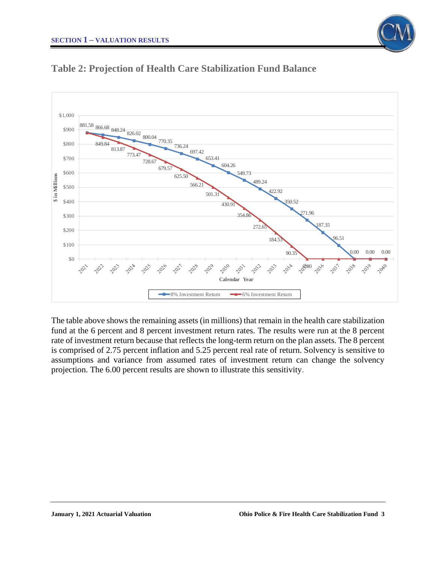



# **Table 2: Projection of Health Care Stabilization Fund Balance**

The table above shows the remaining assets (in millions) that remain in the health care stabilization fund at the 6 percent and 8 percent investment return rates. The results were run at the 8 percent rate of investment return because that reflects the long-term return on the plan assets. The 8 percent is comprised of 2.75 percent inflation and 5.25 percent real rate of return. Solvency is sensitive to assumptions and variance from assumed rates of investment return can change the solvency projection. The 6.00 percent results are shown to illustrate this sensitivity.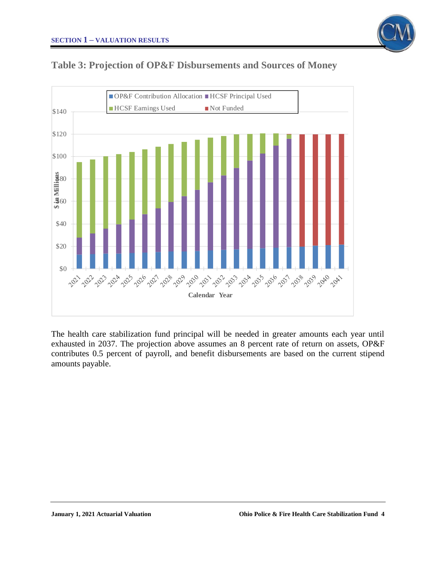





The health care stabilization fund principal will be needed in greater amounts each year until exhausted in 2037. The projection above assumes an 8 percent rate of return on assets, OP&F contributes 0.5 percent of payroll, and benefit disbursements are based on the current stipend amounts payable.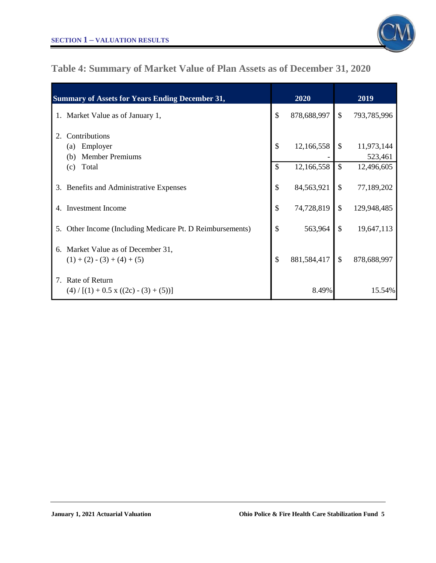

# **Table 4: Summary of Market Value of Plan Assets as of December 31, 2020**

| <b>Summary of Assets for Years Ending December 31,</b>                  | 2020              |               | 2019                  |
|-------------------------------------------------------------------------|-------------------|---------------|-----------------------|
| 1. Market Value as of January 1,                                        | \$<br>878,688,997 | $\mathcal{S}$ | 793,785,996           |
| Contributions<br>2.<br>Employer<br>(a)<br><b>Member Premiums</b><br>(b) | \$<br>12,166,558  | \$            | 11,973,144<br>523,461 |
| Total<br>(c)                                                            | \$<br>12,166,558  | $\mathcal{S}$ | 12,496,605            |
| 3. Benefits and Administrative Expenses                                 | \$<br>84,563,921  | \$            | 77,189,202            |
| <b>Investment Income</b><br>4.                                          | \$<br>74,728,819  | $\mathcal{S}$ | 129,948,485           |
| Other Income (Including Medicare Pt. D Reimbursements)<br>5.            | \$<br>563,964     | $\mathcal{S}$ | 19,647,113            |
| 6. Market Value as of December 31,<br>$(1) + (2) - (3) + (4) + (5)$     | \$<br>881,584,417 | $\mathcal{S}$ | 878,688,997           |
| 7. Rate of Return<br>$(4) / [(1) + 0.5 \times ((2c) - (3) + (5))]$      | 8.49%             |               | 15.54%                |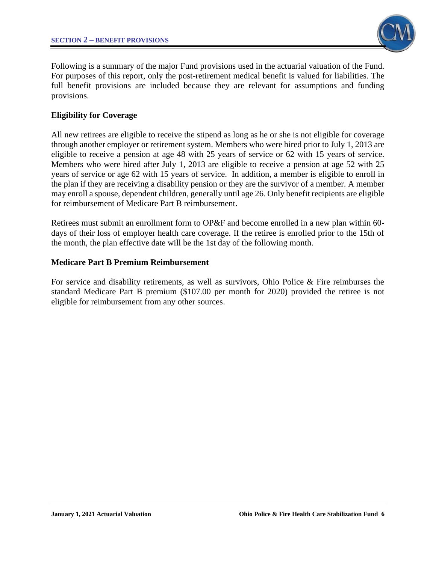

Following is a summary of the major Fund provisions used in the actuarial valuation of the Fund. For purposes of this report, only the post-retirement medical benefit is valued for liabilities. The full benefit provisions are included because they are relevant for assumptions and funding provisions.

## **Eligibility for Coverage**

All new retirees are eligible to receive the stipend as long as he or she is not eligible for coverage through another employer or retirement system. Members who were hired prior to July 1, 2013 are eligible to receive a pension at age 48 with 25 years of service or 62 with 15 years of service. Members who were hired after July 1, 2013 are eligible to receive a pension at age 52 with 25 years of service or age 62 with 15 years of service. In addition, a member is eligible to enroll in the plan if they are receiving a disability pension or they are the survivor of a member. A member may enroll a spouse, dependent children, generally until age 26. Only benefit recipients are eligible for reimbursement of Medicare Part B reimbursement.

Retirees must submit an enrollment form to OP&F and become enrolled in a new plan within 60 days of their loss of employer health care coverage. If the retiree is enrolled prior to the 15th of the month, the plan effective date will be the 1st day of the following month.

#### **Medicare Part B Premium Reimbursement**

For service and disability retirements, as well as survivors, Ohio Police & Fire reimburses the standard Medicare Part B premium (\$107.00 per month for 2020) provided the retiree is not eligible for reimbursement from any other sources.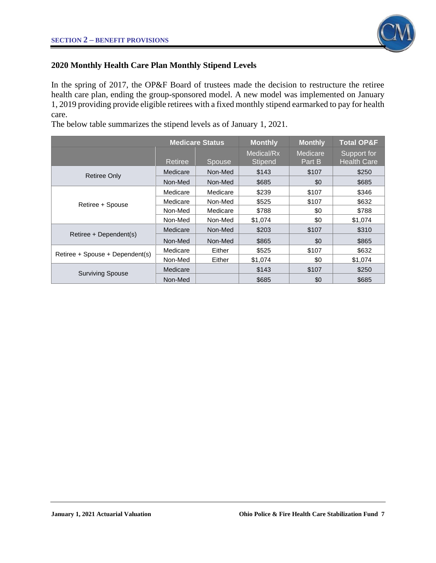

# **2020 Monthly Health Care Plan Monthly Stipend Levels**

In the spring of 2017, the OP&F Board of trustees made the decision to restructure the retiree health care plan, ending the group-sponsored model. A new model was implemented on January 1, 2019 providing provide eligible retirees with a fixed monthly stipend earmarked to pay for health care.

The below table summarizes the stipend levels as of January 1, 2021.

|                                 |          | <b>Medicare Status</b> | <b>Monthly</b>               | <b>Monthly</b>     | <b>Total OP&amp;F</b>             |
|---------------------------------|----------|------------------------|------------------------------|--------------------|-----------------------------------|
|                                 | Retiree  | <b>Spouse</b>          | Medical/Rx<br><b>Stipend</b> | Medicare<br>Part B | Support for<br><b>Health Care</b> |
| <b>Retiree Only</b>             | Medicare | Non-Med                | \$143                        | \$107              | \$250                             |
|                                 | Non-Med  | Non-Med                | \$685                        | \$0                | \$685                             |
|                                 | Medicare | Medicare               | \$239                        | \$107              | \$346                             |
| Retiree + Spouse                | Medicare | Non-Med                | \$525                        | \$107              | \$632                             |
|                                 | Non-Med  | Medicare               | \$788                        | \$0                | \$788                             |
|                                 | Non-Med  | Non-Med                | \$1,074                      | \$0                | \$1,074                           |
| Retiree + Dependent(s)          | Medicare | Non-Med                | \$203                        | \$107              | \$310                             |
|                                 | Non-Med  | Non-Med                | \$865                        | \$0                | \$865                             |
| Retiree + Spouse + Dependent(s) | Medicare | Either                 | \$525                        | \$107              | \$632                             |
|                                 | Non-Med  | Either                 | \$1,074                      | \$0                | \$1,074                           |
| <b>Surviving Spouse</b>         | Medicare |                        | \$143                        | \$107              | \$250                             |
|                                 | Non-Med  |                        | \$685                        | \$0                | \$685                             |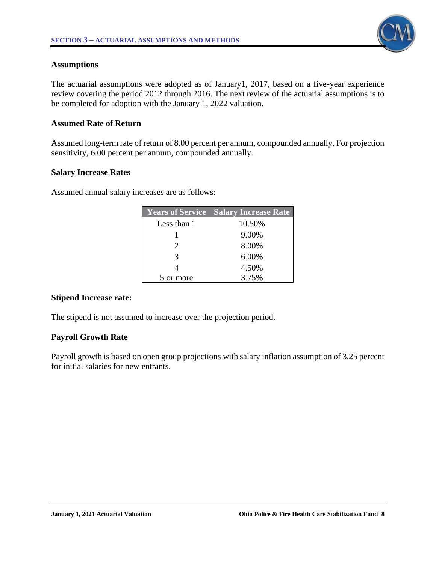

#### **Assumptions**

The actuarial assumptions were adopted as of January1, 2017, based on a five-year experience review covering the period 2012 through 2016. The next review of the actuarial assumptions is to be completed for adoption with the January 1, 2022 valuation.

#### **Assumed Rate of Return**

Assumed long-term rate of return of 8.00 percent per annum, compounded annually. For projection sensitivity, 6.00 percent per annum, compounded annually.

#### **Salary Increase Rates**

Assumed annual salary increases are as follows:

|                             | <b>Years of Service Salary Increase Rate</b> |
|-----------------------------|----------------------------------------------|
| Less than 1                 | 10.50%                                       |
|                             | 9.00%                                        |
| $\mathcal{D}_{\mathcal{L}}$ | 8.00%                                        |
| 3                           | 6.00%                                        |
|                             | 4.50%                                        |
| 5 or more                   | 3.75%                                        |

## **Stipend Increase rate:**

The stipend is not assumed to increase over the projection period.

## **Payroll Growth Rate**

Payroll growth is based on open group projections with salary inflation assumption of 3.25 percent for initial salaries for new entrants.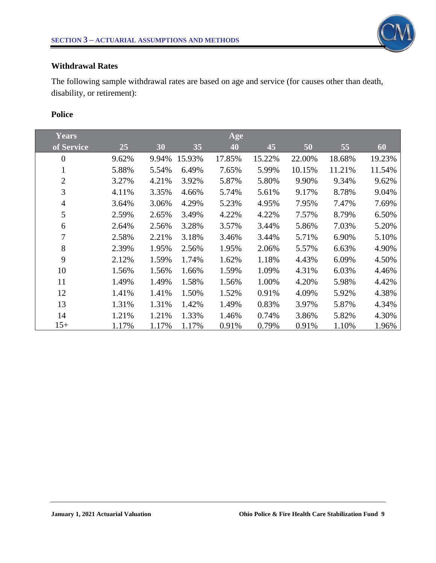

#### **Withdrawal Rates**

The following sample withdrawal rates are based on age and service (for causes other than death, disability, or retirement):

# **Police**

| Years          |       |       |        | Age    |        |        |        |        |
|----------------|-------|-------|--------|--------|--------|--------|--------|--------|
| of Service     | 25    | 30    | 35     | 40     | 45     | 50     | 55     | 60     |
| $\theta$       | 9.62% | 9.94% | 15.93% | 17.85% | 15.22% | 22.00% | 18.68% | 19.23% |
| 1              | 5.88% | 5.54% | 6.49%  | 7.65%  | 5.99%  | 10.15% | 11.21% | 11.54% |
| $\overline{2}$ | 3.27% | 4.21% | 3.92%  | 5.87%  | 5.80%  | 9.90%  | 9.34%  | 9.62%  |
| 3              | 4.11% | 3.35% | 4.66%  | 5.74%  | 5.61%  | 9.17%  | 8.78%  | 9.04%  |
| $\overline{4}$ | 3.64% | 3.06% | 4.29%  | 5.23%  | 4.95%  | 7.95%  | 7.47%  | 7.69%  |
| 5              | 2.59% | 2.65% | 3.49%  | 4.22%  | 4.22%  | 7.57%  | 8.79%  | 6.50%  |
| 6              | 2.64% | 2.56% | 3.28%  | 3.57%  | 3.44%  | 5.86%  | 7.03%  | 5.20%  |
| 7              | 2.58% | 2.21% | 3.18%  | 3.46%  | 3.44%  | 5.71%  | 6.90%  | 5.10%  |
| 8              | 2.39% | 1.95% | 2.56%  | 1.95%  | 2.06%  | 5.57%  | 6.63%  | 4.90%  |
| 9              | 2.12% | 1.59% | 1.74%  | 1.62%  | 1.18%  | 4.43%  | 6.09%  | 4.50%  |
| 10             | 1.56% | 1.56% | 1.66%  | 1.59%  | 1.09%  | 4.31%  | 6.03%  | 4.46%  |
| 11             | 1.49% | 1.49% | 1.58%  | 1.56%  | 1.00%  | 4.20%  | 5.98%  | 4.42%  |
| 12             | 1.41% | 1.41% | 1.50%  | 1.52%  | 0.91%  | 4.09%  | 5.92%  | 4.38%  |
| 13             | 1.31% | 1.31% | 1.42%  | 1.49%  | 0.83%  | 3.97%  | 5.87%  | 4.34%  |
| 14             | 1.21% | 1.21% | 1.33%  | 1.46%  | 0.74%  | 3.86%  | 5.82%  | 4.30%  |
| $15+$          | 1.17% | 1.17% | 1.17%  | 0.91%  | 0.79%  | 0.91%  | 1.10%  | 1.96%  |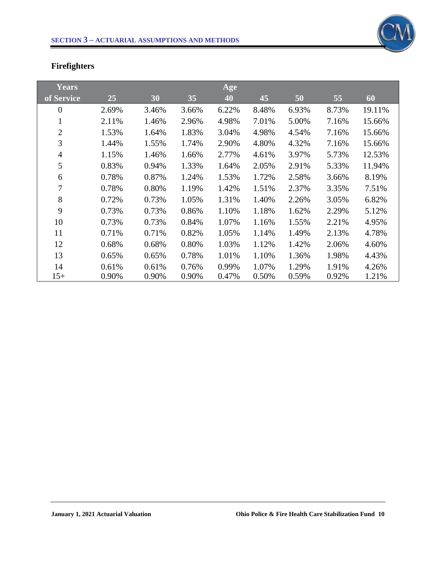

# **Firefighters**

| Years          |       |       |       | Age   |       |       |       |        |
|----------------|-------|-------|-------|-------|-------|-------|-------|--------|
| of Service     | 25    | 30    | 35    | 40    | 45    | 50    | 55    | 60     |
| $\overline{0}$ | 2.69% | 3.46% | 3.66% | 6.22% | 8.48% | 6.93% | 8.73% | 19.11% |
| $\bf{I}$       | 2.11% | 1.46% | 2.96% | 4.98% | 7.01% | 5.00% | 7.16% | 15.66% |
| $\overline{2}$ | 1.53% | 1.64% | 1.83% | 3.04% | 4.98% | 4.54% | 7.16% | 15.66% |
| 3              | 1.44% | 1.55% | 1.74% | 2.90% | 4.80% | 4.32% | 7.16% | 15.66% |
| $\overline{4}$ | 1.15% | 1.46% | 1.66% | 2.77% | 4.61% | 3.97% | 5.73% | 12.53% |
| 5              | 0.83% | 0.94% | 1.33% | 1.64% | 2.05% | 2.91% | 5.33% | 11.94% |
| 6              | 0.78% | 0.87% | 1.24% | 1.53% | 1.72% | 2.58% | 3.66% | 8.19%  |
| $\overline{7}$ | 0.78% | 0.80% | 1.19% | 1.42% | 1.51% | 2.37% | 3.35% | 7.51%  |
| 8              | 0.72% | 0.73% | 1.05% | 1.31% | 1.40% | 2.26% | 3.05% | 6.82%  |
| 9              | 0.73% | 0.73% | 0.86% | 1.10% | 1.18% | 1.62% | 2.29% | 5.12%  |
| 10             | 0.73% | 0.73% | 0.84% | 1.07% | 1.16% | 1.55% | 2.21% | 4.95%  |
| 11             | 0.71% | 0.71% | 0.82% | 1.05% | 1.14% | 1.49% | 2.13% | 4.78%  |
| 12             | 0.68% | 0.68% | 0.80% | 1.03% | 1.12% | 1.42% | 2.06% | 4.60%  |
| 13             | 0.65% | 0.65% | 0.78% | 1.01% | 1.10% | 1.36% | 1.98% | 4.43%  |
| 14             | 0.61% | 0.61% | 0.76% | 0.99% | 1.07% | 1.29% | 1.91% | 4.26%  |
| $15+$          | 0.90% | 0.90% | 0.90% | 0.47% | 0.50% | 0.59% | 0.92% | 1.21%  |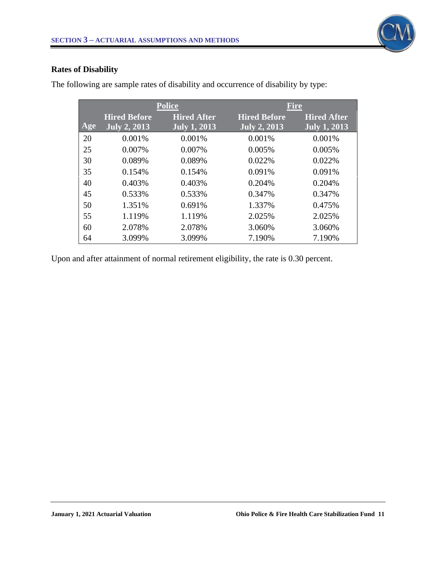

# **Rates of Disability**

|     |                     | <b>Police</b>             | <b>Fire</b>         |                    |
|-----|---------------------|---------------------------|---------------------|--------------------|
|     | <b>Hired Before</b> | <b>Hired After</b>        | <b>Hired Before</b> | <b>Hired After</b> |
| Age | <b>July 2, 2013</b> | July $\overline{1, 2013}$ | <b>July 2, 2013</b> | July $1, 2013$     |
| 20  | 0.001%              | 0.001%                    | 0.001%              | 0.001%             |
| 25  | 0.007%              | 0.007%                    | 0.005%              | 0.005%             |
| 30  | 0.089%              | 0.089%                    | 0.022%              | 0.022%             |
| 35  | 0.154%              | 0.154%                    | 0.091%              | 0.091%             |
| 40  | 0.403%              | 0.403%                    | 0.204%              | 0.204%             |
| 45  | 0.533%              | 0.533%                    | 0.347%              | 0.347%             |
| 50  | 1.351%              | 0.691%                    | 1.337%              | 0.475%             |
| 55  | 1.119%              | 1.119%                    | 2.025%              | 2.025%             |
| 60  | 2.078%              | 2.078%                    | 3.060%              | 3.060%             |
| 64  | 3.099%              | 3.099%                    | 7.190%              | 7.190%             |

The following are sample rates of disability and occurrence of disability by type:

Upon and after attainment of normal retirement eligibility, the rate is 0.30 percent.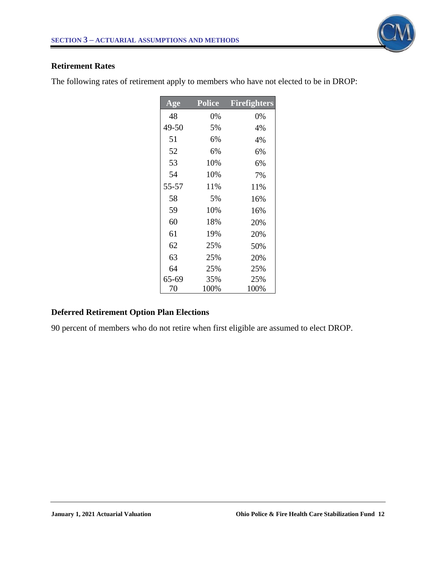

#### **Retirement Rates**

The following rates of retirement apply to members who have not elected to be in DROP:

| $\bf{Age}$ | <b>Police</b> | <b>Firefighters</b> |
|------------|---------------|---------------------|
| 48         | 0%            | 0%                  |
| 49-50      | 5%            | 4%                  |
| 51         | 6%            | 4%                  |
| 52         | 6%            | 6%                  |
| 53         | 10%           | 6%                  |
| 54         | 10%           | 7%                  |
| 55-57      | 11%           | 11%                 |
| 58         | 5%            | 16%                 |
| 59         | 10%           | 16%                 |
| 60         | 18%           | 20%                 |
| 61         | 19%           | 20%                 |
| 62         | 25%           | 50%                 |
| 63         | 25%           | 20%                 |
| 64         | 25%           | 25%                 |
| 65-69      | 35%           | 25%                 |
| 70         | 100%          | 100%                |

# **Deferred Retirement Option Plan Elections**

90 percent of members who do not retire when first eligible are assumed to elect DROP.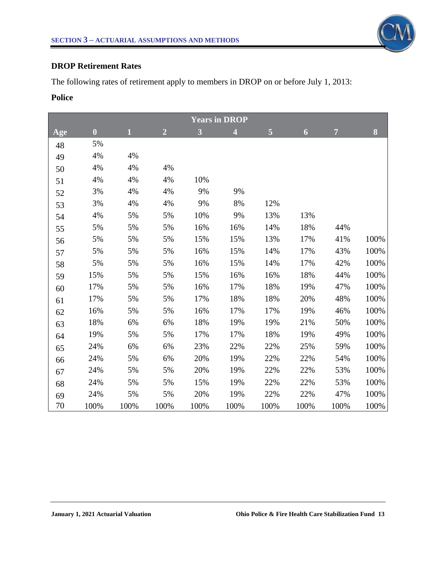

#### **DROP Retirement Rates**

The following rates of retirement apply to members in DROP on or before July 1, 2013:

# **Police**

| <b>Years in DROP</b> |                  |      |                |      |                |      |      |                |      |
|----------------------|------------------|------|----------------|------|----------------|------|------|----------------|------|
| Age                  | $\boldsymbol{0}$ | 1    | $\overline{2}$ | 3    | $\overline{4}$ | 5    | 6    | $\overline{7}$ | 8    |
| 48                   | 5%               |      |                |      |                |      |      |                |      |
| 49                   | 4%               | 4%   |                |      |                |      |      |                |      |
| 50                   | 4%               | 4%   | 4%             |      |                |      |      |                |      |
| 51                   | 4%               | 4%   | 4%             | 10%  |                |      |      |                |      |
| 52                   | 3%               | 4%   | 4%             | 9%   | 9%             |      |      |                |      |
| 53                   | 3%               | 4%   | 4%             | 9%   | 8%             | 12%  |      |                |      |
| 54                   | 4%               | 5%   | 5%             | 10%  | 9%             | 13%  | 13%  |                |      |
| 55                   | 5%               | 5%   | 5%             | 16%  | 16%            | 14%  | 18%  | 44%            |      |
| 56                   | 5%               | 5%   | 5%             | 15%  | 15%            | 13%  | 17%  | 41%            | 100% |
| 57                   | 5%               | 5%   | 5%             | 16%  | 15%            | 14%  | 17%  | 43%            | 100% |
| 58                   | 5%               | 5%   | 5%             | 16%  | 15%            | 14%  | 17%  | 42%            | 100% |
| 59                   | 15%              | 5%   | 5%             | 15%  | 16%            | 16%  | 18%  | 44%            | 100% |
| 60                   | 17%              | 5%   | 5%             | 16%  | 17%            | 18%  | 19%  | 47%            | 100% |
| 61                   | 17%              | 5%   | 5%             | 17%  | 18%            | 18%  | 20%  | 48%            | 100% |
| 62                   | 16%              | 5%   | 5%             | 16%  | 17%            | 17%  | 19%  | 46%            | 100% |
| 63                   | 18%              | 6%   | 6%             | 18%  | 19%            | 19%  | 21%  | 50%            | 100% |
| 64                   | 19%              | 5%   | 5%             | 17%  | 17%            | 18%  | 19%  | 49%            | 100% |
| 65                   | 24%              | 6%   | 6%             | 23%  | 22%            | 22%  | 25%  | 59%            | 100% |
| 66                   | 24%              | 5%   | 6%             | 20%  | 19%            | 22%  | 22%  | 54%            | 100% |
| 67                   | 24%              | 5%   | 5%             | 20%  | 19%            | 22%  | 22%  | 53%            | 100% |
| 68                   | 24%              | 5%   | 5%             | 15%  | 19%            | 22%  | 22%  | 53%            | 100% |
| 69                   | 24%              | 5%   | 5%             | 20%  | 19%            | 22%  | 22%  | 47%            | 100% |
| 70                   | 100%             | 100% | 100%           | 100% | 100%           | 100% | 100% | 100%           | 100% |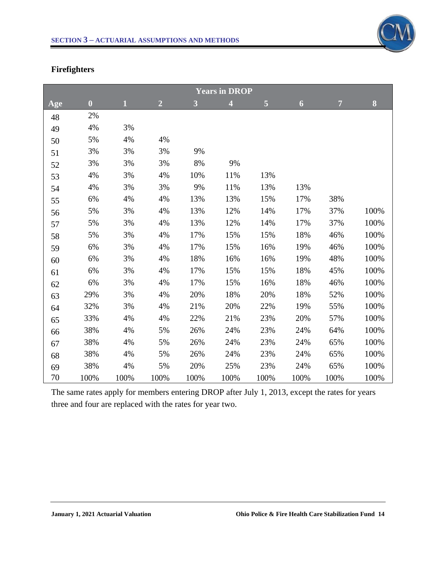

# **Firefighters**

| <b>Years in DROP</b> |                  |                |                |      |                         |      |      |                |      |  |  |  |
|----------------------|------------------|----------------|----------------|------|-------------------------|------|------|----------------|------|--|--|--|
| Age                  | $\boldsymbol{0}$ | $\overline{1}$ | $\overline{2}$ | 3    | $\overline{\mathbf{4}}$ | 5    | 6    | $\overline{7}$ | 8    |  |  |  |
| 48                   | 2%               |                |                |      |                         |      |      |                |      |  |  |  |
| 49                   | 4%               | 3%             |                |      |                         |      |      |                |      |  |  |  |
| 50                   | 5%               | 4%             | 4%             |      |                         |      |      |                |      |  |  |  |
| 51                   | 3%               | 3%             | 3%             | 9%   |                         |      |      |                |      |  |  |  |
| 52                   | 3%               | 3%             | 3%             | 8%   | 9%                      |      |      |                |      |  |  |  |
| 53                   | 4%               | 3%             | 4%             | 10%  | 11%                     | 13%  |      |                |      |  |  |  |
| 54                   | 4%               | 3%             | 3%             | 9%   | 11%                     | 13%  | 13%  |                |      |  |  |  |
| 55                   | 6%               | 4%             | 4%             | 13%  | 13%                     | 15%  | 17%  | 38%            |      |  |  |  |
| 56                   | 5%               | 3%             | 4%             | 13%  | 12%                     | 14%  | 17%  | 37%            | 100% |  |  |  |
| 57                   | 5%               | 3%             | 4%             | 13%  | 12%                     | 14%  | 17%  | 37%            | 100% |  |  |  |
| 58                   | 5%               | 3%             | 4%             | 17%  | 15%                     | 15%  | 18%  | 46%            | 100% |  |  |  |
| 59                   | 6%               | 3%             | 4%             | 17%  | 15%                     | 16%  | 19%  | 46%            | 100% |  |  |  |
| 60                   | 6%               | 3%             | 4%             | 18%  | 16%                     | 16%  | 19%  | 48%            | 100% |  |  |  |
| 61                   | 6%               | 3%             | 4%             | 17%  | 15%                     | 15%  | 18%  | 45%            | 100% |  |  |  |
| 62                   | 6%               | 3%             | 4%             | 17%  | 15%                     | 16%  | 18%  | 46%            | 100% |  |  |  |
| 63                   | 29%              | 3%             | 4%             | 20%  | 18%                     | 20%  | 18%  | 52%            | 100% |  |  |  |
| 64                   | 32%              | 3%             | 4%             | 21%  | 20%                     | 22%  | 19%  | 55%            | 100% |  |  |  |
| 65                   | 33%              | 4%             | 4%             | 22%  | 21%                     | 23%  | 20%  | 57%            | 100% |  |  |  |
| 66                   | 38%              | 4%             | 5%             | 26%  | 24%                     | 23%  | 24%  | 64%            | 100% |  |  |  |
| 67                   | 38%              | 4%             | 5%             | 26%  | 24%                     | 23%  | 24%  | 65%            | 100% |  |  |  |
| 68                   | 38%              | 4%             | 5%             | 26%  | 24%                     | 23%  | 24%  | 65%            | 100% |  |  |  |
| 69                   | 38%              | 4%             | 5%             | 20%  | 25%                     | 23%  | 24%  | 65%            | 100% |  |  |  |
| 70                   | 100%             | 100%           | 100%           | 100% | 100%                    | 100% | 100% | 100%           | 100% |  |  |  |

The same rates apply for members entering DROP after July 1, 2013, except the rates for years three and four are replaced with the rates for year two.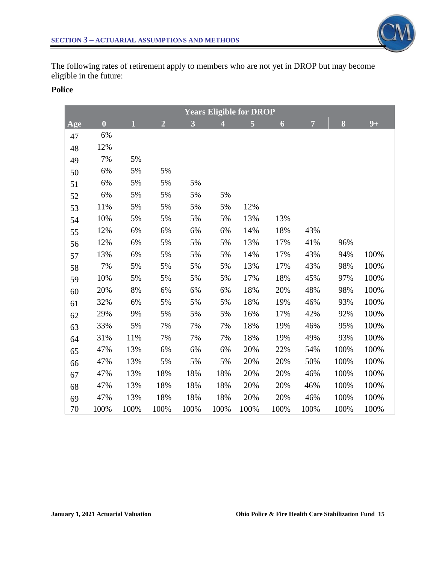The following rates of retirement apply to members who are not yet in DROP but may become eligible in the future:

#### **Police**

| <b>Years Eligible for DROP</b> |                         |       |                |      |                |                |      |                |      |      |  |  |
|--------------------------------|-------------------------|-------|----------------|------|----------------|----------------|------|----------------|------|------|--|--|
| Age                            | $\overline{\mathbf{0}}$ | 1     | $\overline{2}$ | 3    | $\overline{4}$ | $\overline{5}$ | 6    | $\overline{7}$ | 8    | $9+$ |  |  |
| 47                             | 6%                      |       |                |      |                |                |      |                |      |      |  |  |
| 48                             | 12%                     |       |                |      |                |                |      |                |      |      |  |  |
| 49                             | 7%                      | 5%    |                |      |                |                |      |                |      |      |  |  |
| 50                             | 6%                      | 5%    | 5%             |      |                |                |      |                |      |      |  |  |
| 51                             | 6%                      | 5%    | 5%             | 5%   |                |                |      |                |      |      |  |  |
| 52                             | 6%                      | 5%    | 5%             | 5%   | 5%             |                |      |                |      |      |  |  |
| 53                             | 11%                     | 5%    | 5%             | 5%   | 5%             | 12%            |      |                |      |      |  |  |
| 54                             | 10%                     | 5%    | 5%             | 5%   | 5%             | 13%            | 13%  |                |      |      |  |  |
| 55                             | 12%                     | 6%    | 6%             | 6%   | 6%             | 14%            | 18%  | 43%            |      |      |  |  |
| 56                             | 12%                     | 6%    | 5%             | 5%   | 5%             | 13%            | 17%  | 41%            | 96%  |      |  |  |
| 57                             | 13%                     | 6%    | 5%             | 5%   | 5%             | 14%            | 17%  | 43%            | 94%  | 100% |  |  |
| 58                             | 7%                      | 5%    | 5%             | 5%   | 5%             | 13%            | 17%  | 43%            | 98%  | 100% |  |  |
| 59                             | 10%                     | 5%    | 5%             | 5%   | 5%             | 17%            | 18%  | 45%            | 97%  | 100% |  |  |
| 60                             | 20%                     | $8\%$ | 6%             | 6%   | 6%             | 18%            | 20%  | 48%            | 98%  | 100% |  |  |
| 61                             | 32%                     | 6%    | 5%             | 5%   | 5%             | 18%            | 19%  | 46%            | 93%  | 100% |  |  |
| 62                             | 29%                     | 9%    | 5%             | 5%   | 5%             | 16%            | 17%  | 42%            | 92%  | 100% |  |  |
| 63                             | 33%                     | 5%    | 7%             | 7%   | 7%             | 18%            | 19%  | 46%            | 95%  | 100% |  |  |
| 64                             | 31%                     | 11%   | 7%             | 7%   | 7%             | 18%            | 19%  | 49%            | 93%  | 100% |  |  |
| 65                             | 47%                     | 13%   | 6%             | 6%   | 6%             | 20%            | 22%  | 54%            | 100% | 100% |  |  |
| 66                             | 47%                     | 13%   | 5%             | 5%   | 5%             | 20%            | 20%  | 50%            | 100% | 100% |  |  |
| 67                             | 47%                     | 13%   | 18%            | 18%  | 18%            | 20%            | 20%  | 46%            | 100% | 100% |  |  |
| 68                             | 47%                     | 13%   | 18%            | 18%  | 18%            | 20%            | 20%  | 46%            | 100% | 100% |  |  |
| 69                             | 47%                     | 13%   | 18%            | 18%  | 18%            | 20%            | 20%  | 46%            | 100% | 100% |  |  |
| 70                             | 100%                    | 100%  | 100%           | 100% | 100%           | 100%           | 100% | 100%           | 100% | 100% |  |  |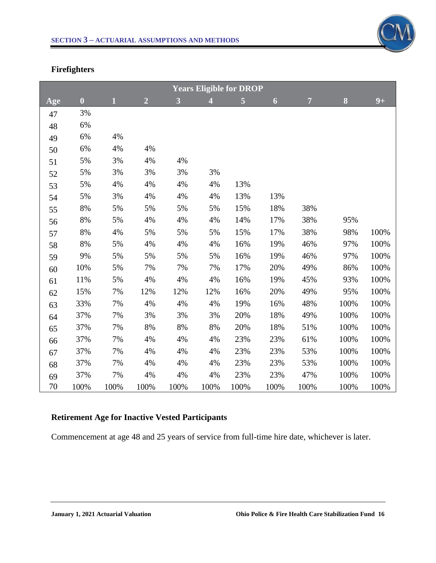

# **Firefighters**

| <b>Years Eligible for DROP</b> |                  |             |                |      |                |      |                  |                |      |      |
|--------------------------------|------------------|-------------|----------------|------|----------------|------|------------------|----------------|------|------|
| Age                            | $\boldsymbol{0}$ | $\mathbf 1$ | $\overline{2}$ | 3    | $\overline{4}$ | 5    | $\boldsymbol{6}$ | $\overline{7}$ | 8    | $9+$ |
| 47                             | 3%               |             |                |      |                |      |                  |                |      |      |
| 48                             | 6%               |             |                |      |                |      |                  |                |      |      |
| 49                             | 6%               | 4%          |                |      |                |      |                  |                |      |      |
| 50                             | 6%               | 4%          | 4%             |      |                |      |                  |                |      |      |
| 51                             | 5%               | 3%          | 4%             | 4%   |                |      |                  |                |      |      |
| 52                             | $5\%$            | 3%          | $3%$           | 3%   | 3%             |      |                  |                |      |      |
| 53                             | 5%               | 4%          | 4%             | 4%   | 4%             | 13%  |                  |                |      |      |
| 54                             | 5%               | 3%          | 4%             | 4%   | 4%             | 13%  | 13%              |                |      |      |
| 55                             | 8%               | 5%          | 5%             | 5%   | 5%             | 15%  | 18%              | 38%            |      |      |
| 56                             | 8%               | 5%          | 4%             | 4%   | 4%             | 14%  | 17%              | 38%            | 95%  |      |
| 57                             | 8%               | 4%          | 5%             | 5%   | 5%             | 15%  | 17%              | 38%            | 98%  | 100% |
| 58                             | 8%               | 5%          | 4%             | 4%   | 4%             | 16%  | 19%              | 46%            | 97%  | 100% |
| 59                             | 9%               | 5%          | 5%             | 5%   | 5%             | 16%  | 19%              | 46%            | 97%  | 100% |
| 60                             | 10%              | 5%          | 7%             | 7%   | 7%             | 17%  | 20%              | 49%            | 86%  | 100% |
| 61                             | 11%              | 5%          | 4%             | 4%   | 4%             | 16%  | 19%              | 45%            | 93%  | 100% |
| 62                             | 15%              | 7%          | 12%            | 12%  | 12%            | 16%  | 20%              | 49%            | 95%  | 100% |
| 63                             | 33%              | 7%          | 4%             | 4%   | 4%             | 19%  | 16%              | 48%            | 100% | 100% |
| 64                             | 37%              | 7%          | 3%             | 3%   | 3%             | 20%  | 18%              | 49%            | 100% | 100% |
| 65                             | 37%              | 7%          | 8%             | 8%   | 8%             | 20%  | 18%              | 51%            | 100% | 100% |
| 66                             | 37%              | 7%          | 4%             | 4%   | 4%             | 23%  | 23%              | 61%            | 100% | 100% |
| 67                             | 37%              | 7%          | 4%             | 4%   | 4%             | 23%  | 23%              | 53%            | 100% | 100% |
| 68                             | 37%              | 7%          | 4%             | 4%   | 4%             | 23%  | 23%              | 53%            | 100% | 100% |
| 69                             | 37%              | 7%          | 4%             | 4%   | 4%             | 23%  | 23%              | 47%            | 100% | 100% |
| 70                             | 100%             | 100%        | 100%           | 100% | 100%           | 100% | 100%             | 100%           | 100% | 100% |

# **Retirement Age for Inactive Vested Participants**

Commencement at age 48 and 25 years of service from full-time hire date, whichever is later.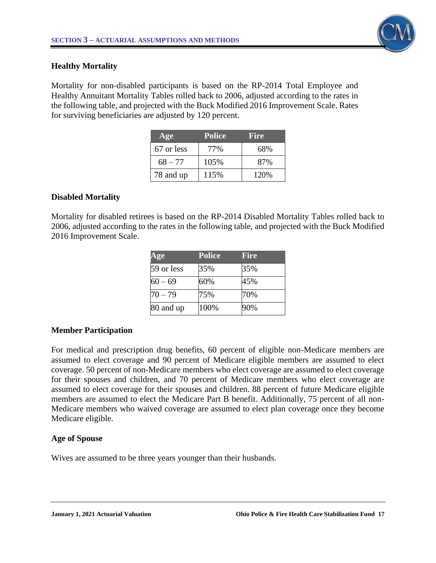

#### **Healthy Mortality**

Mortality for non-disabled participants is based on the RP-2014 Total Employee and Healthy Annuitant Mortality Tables rolled back to 2006, adjusted according to the rates in the following table, and projected with the Buck Modified 2016 Improvement Scale. Rates for surviving beneficiaries are adjusted by 120 percent.

| Age        | <b>Police</b> | Fire  |
|------------|---------------|-------|
| 67 or less | 77%           | 68%   |
| $68 - 77$  | 105%          | 87%   |
| 78 and up  | 115%          | 120\% |

## **Disabled Mortality**

Mortality for disabled retirees is based on the RP-2014 Disabled Mortality Tables rolled back to 2006, adjusted according to the rates in the following table, and projected with the Buck Modified 2016 Improvement Scale.

| Age        | <b>Police</b> | <b>Fire</b> |
|------------|---------------|-------------|
| 59 or less | 35%           | 35%         |
| $60 - 69$  | 60%           | 45%         |
| $70 - 79$  | 75%           | 70%         |
| 80 and up  | 100%          | 90%         |

## **Member Participation**

For medical and prescription drug benefits, 60 percent of eligible non-Medicare members are assumed to elect coverage and 90 percent of Medicare eligible members are assumed to elect coverage. 50 percent of non-Medicare members who elect coverage are assumed to elect coverage for their spouses and children, and 70 percent of Medicare members who elect coverage are assumed to elect coverage for their spouses and children. 88 percent of future Medicare eligible members are assumed to elect the Medicare Part B benefit. Additionally, 75 percent of all non-Medicare members who waived coverage are assumed to elect plan coverage once they become Medicare eligible.

#### **Age of Spouse**

Wives are assumed to be three years younger than their husbands.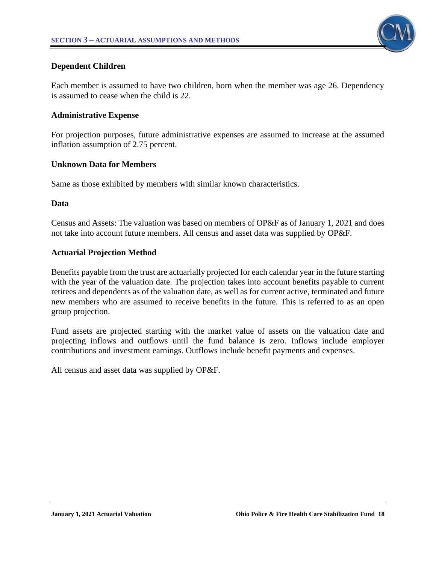

#### **Dependent Children**

Each member is assumed to have two children, born when the member was age 26. Dependency is assumed to cease when the child is 22.

#### **Administrative Expense**

For projection purposes, future administrative expenses are assumed to increase at the assumed inflation assumption of 2.75 percent.

#### **Unknown Data for Members**

Same as those exhibited by members with similar known characteristics.

#### **Data**

Census and Assets: The valuation was based on members of OP&F as of January 1, 2021 and does not take into account future members. All census and asset data was supplied by OP&F.

#### **Actuarial Projection Method**

Benefits payable from the trust are actuarially projected for each calendar year in the future starting with the year of the valuation date. The projection takes into account benefits payable to current retirees and dependents as of the valuation date, as well as for current active, terminated and future new members who are assumed to receive benefits in the future. This is referred to as an open group projection.

Fund assets are projected starting with the market value of assets on the valuation date and projecting inflows and outflows until the fund balance is zero. Inflows include employer contributions and investment earnings. Outflows include benefit payments and expenses.

All census and asset data was supplied by OP&F.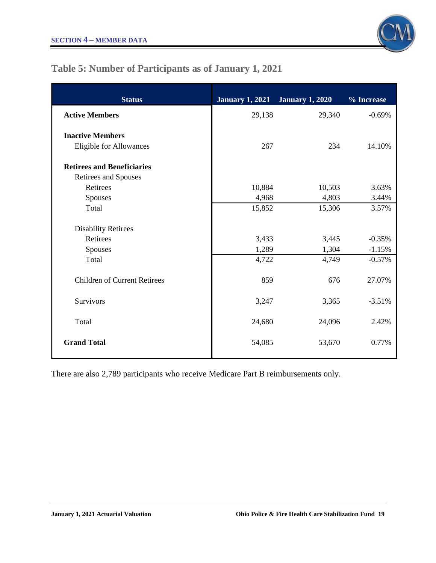

# **Table 5: Number of Participants as of January 1, 2021**

| <b>Status</b>                       | <b>January 1, 2021</b> | <b>January 1, 2020</b> | % Increase |
|-------------------------------------|------------------------|------------------------|------------|
| <b>Active Members</b>               | 29,138                 | 29,340                 | $-0.69%$   |
| <b>Inactive Members</b>             |                        |                        |            |
| <b>Eligible for Allowances</b>      | 267                    | 234                    | 14.10%     |
| <b>Retirees and Beneficiaries</b>   |                        |                        |            |
| Retirees and Spouses                |                        |                        |            |
| Retirees                            | 10,884                 | 10,503                 | 3.63%      |
| Spouses                             | 4,968                  | 4,803                  | 3.44%      |
| Total                               | 15,852                 | 15,306                 | 3.57%      |
| <b>Disability Retirees</b>          |                        |                        |            |
| Retirees                            | 3,433                  | 3,445                  | $-0.35%$   |
| Spouses                             | 1,289                  | 1,304                  | $-1.15%$   |
| Total                               | 4,722                  | 4,749                  | $-0.57%$   |
| <b>Children of Current Retirees</b> | 859                    | 676                    | 27.07%     |
| Survivors                           | 3,247                  | 3,365                  | $-3.51%$   |
| Total                               | 24,680                 | 24,096                 | 2.42%      |
| <b>Grand Total</b>                  | 54,085                 | 53,670                 | 0.77%      |

There are also 2,789 participants who receive Medicare Part B reimbursements only.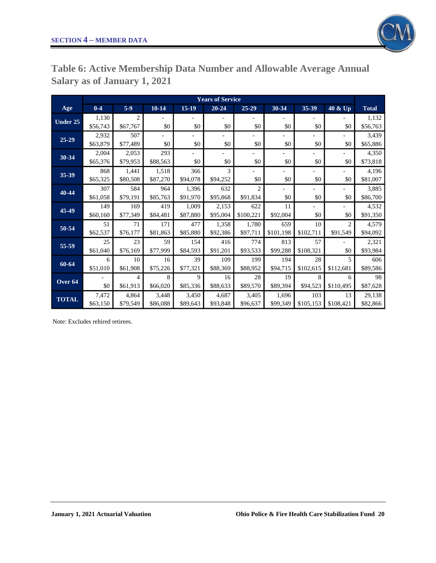

**Table 6: Active Membership Data Number and Allowable Average Annual Salary as of January 1, 2021**

|                 | <b>Years of Service</b> |                |           |                          |                          |                |                          |           |                |              |
|-----------------|-------------------------|----------------|-----------|--------------------------|--------------------------|----------------|--------------------------|-----------|----------------|--------------|
| Age             | $0-4$                   | $5-9$          | $10 - 14$ | 15-19                    | $20 - 24$                | 25-29          | 30-34                    | 35-39     | 40 & Up        | <b>Total</b> |
| <b>Under 25</b> | 1,130                   | $\overline{2}$ |           |                          |                          |                |                          |           |                | 1,132        |
|                 | \$56,743                | \$67,767       | \$0       | \$0                      | \$0                      | \$0            | \$0                      | \$0       | \$0            | \$56,763     |
| $25 - 29$       | 2,932                   | 507            | $\equiv$  | $\overline{\phantom{0}}$ | $\overline{\phantom{a}}$ | $\blacksquare$ | $\overline{\phantom{0}}$ |           |                | 3,439        |
|                 | \$63,879                | \$77,489       | \$0       | \$0                      | \$0                      | \$0            | \$0                      | \$0       | \$0            | \$65,886     |
|                 | 2,004                   | 2,053          | 293       |                          | $\overline{\phantom{a}}$ |                | L,                       |           |                | 4,350        |
| 30-34           | \$65,376                | \$79,953       | \$88,563  | \$0                      | \$0                      | \$0            | \$0                      | \$0       | \$0            | \$73,818     |
|                 | 868                     | 1,441          | 1,518     | 366                      | 3                        |                | $\overline{\phantom{0}}$ |           |                | 4,196        |
| 35-39           | \$65,325                | \$80,508       | \$87,270  | \$94,078                 | \$94,252                 | \$0            | \$0                      | \$0       | \$0            | \$81,007     |
|                 | 307                     | 584            | 964       | 1,396                    | 632                      | $\overline{c}$ |                          |           |                | 3,885        |
| 40-44           | \$61,058                | \$79,191       | \$85,763  | \$91,970                 | \$95,868                 | \$91,834       | \$0                      | \$0       | \$0            | \$86,700     |
| 45-49           | 149                     | 169            | 419       | 1,009                    | 2,153                    | 622            | 11                       |           |                | 4,532        |
|                 | \$60,160                | \$77,349       | \$84,481  | \$87,880                 | \$95,004                 | \$100,221      | \$92,004                 | \$0       | \$0            | \$91,350     |
| 50-54           | 51                      | 71             | 171       | 477                      | 1,358                    | 1,780          | 659                      | 10        | $\overline{c}$ | 4,579        |
|                 | \$62,537                | \$76,177       | \$81,863  | \$85,880                 | \$92,386                 | \$97,711       | \$101,198                | \$102,711 | \$91,549       | \$94,092     |
| 55-59           | 25                      | 23             | 59        | 154                      | 416                      | 774            | 813                      | 57        |                | 2,321        |
|                 | \$61,040                | \$76,169       | \$77,999  | \$84,593                 | \$91,201                 | \$93,533       | \$99,288                 | \$108,321 | \$0            | \$93,984     |
| 60-64           | 6                       | 10             | 16        | 39                       | 109                      | 199            | 194                      | 28        | 5              | 606          |
|                 | \$51,010                | \$61,908       | \$75,226  | \$77,321                 | \$88,369                 | \$88,952       | \$94,715                 | \$102,615 | \$112.681      | \$89,586     |
| Over 64         |                         | 4              | 8         | 9                        | 16                       | 28             | 19                       | 8         | 6              | 98           |
|                 | \$0                     | \$61,913       | \$66,020  | \$85,336                 | \$88,633                 | \$89,570       | \$89,394                 | \$94,523  | \$110,495      | \$87,628     |
| <b>TOTAL</b>    | 7,472                   | 4,864          | 3,448     | 3,450                    | 4,687                    | 3,405          | 1,696                    | 103       | 13             | 29,138       |
|                 | \$63,150                | \$79,549       | \$86,088  | \$89,643                 | \$93,848                 | \$96,637       | \$99,349                 | \$105,153 | \$108,421      | \$82,866     |

Note: Excludes rehired retirees.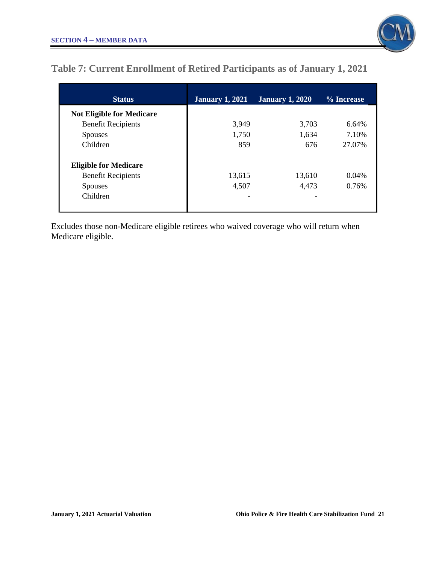

# **Table 7: Current Enrollment of Retired Participants as of January 1, 2021**

| <b>Status</b>                    | <b>January 1, 2021</b> | <b>January 1, 2020</b> | % Increase |
|----------------------------------|------------------------|------------------------|------------|
| <b>Not Eligible for Medicare</b> |                        |                        |            |
| <b>Benefit Recipients</b>        | 3,949                  | 3,703                  | 6.64%      |
| <b>Spouses</b>                   | 1,750                  | 1,634                  | 7.10%      |
| Children                         | 859                    | 676                    | 27.07%     |
| <b>Eligible for Medicare</b>     |                        |                        |            |
| <b>Benefit Recipients</b>        | 13,615                 | 13,610                 | $0.04\%$   |
| <b>Spouses</b>                   | 4,507                  | 4,473                  | 0.76%      |
| Children                         |                        |                        |            |

Excludes those non-Medicare eligible retirees who waived coverage who will return when Medicare eligible.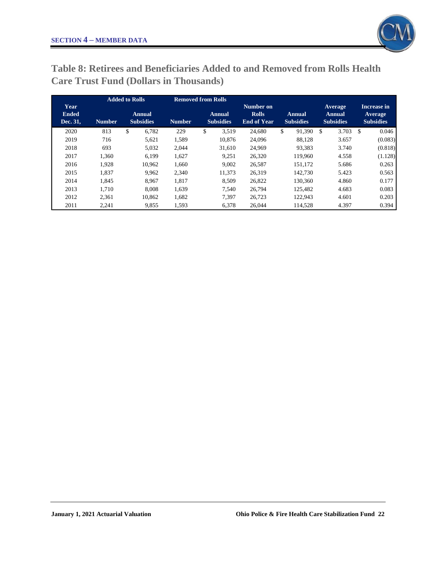

**Table 8: Retirees and Beneficiaries Added to and Removed from Rolls Health Care Trust Fund (Dollars in Thousands)**

|                                  |               | <b>Added to Rolls</b>             |               | <b>Removed from Rolls</b>         |                                                 |                                   |                                              |                                            |
|----------------------------------|---------------|-----------------------------------|---------------|-----------------------------------|-------------------------------------------------|-----------------------------------|----------------------------------------------|--------------------------------------------|
| Year<br><b>Ended</b><br>Dec. 31, | <b>Number</b> | <b>Annual</b><br><b>Subsidies</b> | <b>Number</b> | <b>Annual</b><br><b>Subsidies</b> | Number on<br><b>Rolls</b><br><b>End of Year</b> | <b>Annual</b><br><b>Subsidies</b> | Average<br><b>Annual</b><br><b>Subsidies</b> | Increase in<br>Average<br><b>Subsidies</b> |
| 2020                             | 813           | \$<br>6,782                       | 229           | \$<br>3,519                       | 24,680                                          | \$<br>91,390                      | \$.<br>3.703                                 | \$<br>0.046                                |
| 2019                             | 716           | 5,621                             | 1,589         | 10.876                            | 24,096                                          | 88,128                            | 3.657                                        | (0.083)                                    |
| 2018                             | 693           | 5,032                             | 2.044         | 31,610                            | 24.969                                          | 93,383                            | 3.740                                        | (0.818)                                    |
| 2017                             | 1.360         | 6,199                             | 1,627         | 9.251                             | 26,320                                          | 119,960                           | 4.558                                        | (1.128)                                    |
| 2016                             | 1.928         | 10.962                            | 1,660         | 9.002                             | 26,587                                          | 151.172                           | 5.686                                        | 0.263                                      |
| 2015                             | 1.837         | 9.962                             | 2.340         | 11.373                            | 26.319                                          | 142,730                           | 5.423                                        | 0.563                                      |
| 2014                             | 1.845         | 8.967                             | 1.817         | 8,509                             | 26,822                                          | 130,360                           | 4.860                                        | 0.177                                      |
| 2013                             | 1.710         | 8.008                             | 1,639         | 7.540                             | 26,794                                          | 125.482                           | 4.683                                        | 0.083                                      |
| 2012                             | 2.361         | 10.862                            | 1,682         | 7.397                             | 26.723                                          | 122.943                           | 4.601                                        | 0.203                                      |
| 2011                             | 2,241         | 9,855                             | 1,593         | 6.378                             | 26.044                                          | 114,528                           | 4.397                                        | 0.394                                      |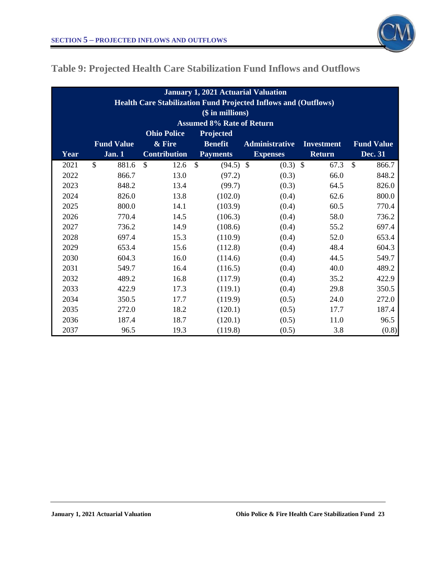

# **Table 9: Projected Health Care Stabilization Fund Inflows and Outflows**

| <b>January 1, 2021 Actuarial Valuation</b><br>Health Care Stabilization Fund Projected Inflows and (Outflows) |                                  |                       |                              |                       |                   |                        |  |  |  |  |  |  |
|---------------------------------------------------------------------------------------------------------------|----------------------------------|-----------------------|------------------------------|-----------------------|-------------------|------------------------|--|--|--|--|--|--|
|                                                                                                               | (\$ in millions)                 |                       |                              |                       |                   |                        |  |  |  |  |  |  |
|                                                                                                               | <b>Assumed 8% Rate of Return</b> |                       |                              |                       |                   |                        |  |  |  |  |  |  |
|                                                                                                               |                                  | <b>Ohio Police</b>    | Projected                    |                       |                   |                        |  |  |  |  |  |  |
|                                                                                                               | <b>Fund Value</b>                | & Fire                | <b>Benefit</b>               | <b>Administrative</b> | <b>Investment</b> | <b>Fund Value</b>      |  |  |  |  |  |  |
| Year                                                                                                          | Jan.1                            | <b>Contribution</b>   | <b>Payments</b>              | <b>Expenses</b>       | <b>Return</b>     | Dec. 31                |  |  |  |  |  |  |
| 2021                                                                                                          | $\mathcal{S}$<br>881.6           | $\mathcal{S}$<br>12.6 | $\mathcal{S}$<br>$(94.5)$ \$ | $(0.3)$ \$            | 67.3              | $\mathcal{S}$<br>866.7 |  |  |  |  |  |  |
| 2022                                                                                                          | 866.7                            | 13.0                  | (97.2)                       | (0.3)                 | 66.0              | 848.2                  |  |  |  |  |  |  |
| 2023                                                                                                          | 848.2                            | 13.4                  | (99.7)                       | (0.3)                 | 64.5              | 826.0                  |  |  |  |  |  |  |
| 2024                                                                                                          | 826.0                            | 13.8                  | (102.0)                      | (0.4)                 | 62.6              | 800.0                  |  |  |  |  |  |  |
| 2025                                                                                                          | 800.0                            | 14.1                  | (103.9)                      | (0.4)                 | 60.5              | 770.4                  |  |  |  |  |  |  |
| 2026                                                                                                          | 770.4                            | 14.5                  | (106.3)                      | (0.4)                 | 58.0              | 736.2                  |  |  |  |  |  |  |
| 2027                                                                                                          | 736.2                            | 14.9                  | (108.6)                      | (0.4)                 | 55.2              | 697.4                  |  |  |  |  |  |  |
| 2028                                                                                                          | 697.4                            | 15.3                  | (110.9)                      | (0.4)                 | 52.0              | 653.4                  |  |  |  |  |  |  |
| 2029                                                                                                          | 653.4                            | 15.6                  | (112.8)                      | (0.4)                 | 48.4              | 604.3                  |  |  |  |  |  |  |
| 2030                                                                                                          | 604.3                            | 16.0                  | (114.6)                      | (0.4)                 | 44.5              | 549.7                  |  |  |  |  |  |  |
| 2031                                                                                                          | 549.7                            | 16.4                  | (116.5)                      | (0.4)                 | 40.0              | 489.2                  |  |  |  |  |  |  |
| 2032                                                                                                          | 489.2                            | 16.8                  | (117.9)                      | (0.4)                 | 35.2              | 422.9                  |  |  |  |  |  |  |
| 2033                                                                                                          | 422.9                            | 17.3                  | (119.1)                      | (0.4)                 | 29.8              | 350.5                  |  |  |  |  |  |  |
| 2034                                                                                                          | 350.5                            | 17.7                  | (119.9)                      | (0.5)                 | 24.0              | 272.0                  |  |  |  |  |  |  |
| 2035                                                                                                          | 272.0                            | 18.2                  | (120.1)                      | (0.5)                 | 17.7              | 187.4                  |  |  |  |  |  |  |
| 2036                                                                                                          | 187.4                            | 18.7                  | (120.1)                      | (0.5)                 | 11.0              | 96.5                   |  |  |  |  |  |  |
| 2037                                                                                                          | 96.5                             | 19.3                  | (119.8)                      | (0.5)                 | 3.8               | (0.8)                  |  |  |  |  |  |  |